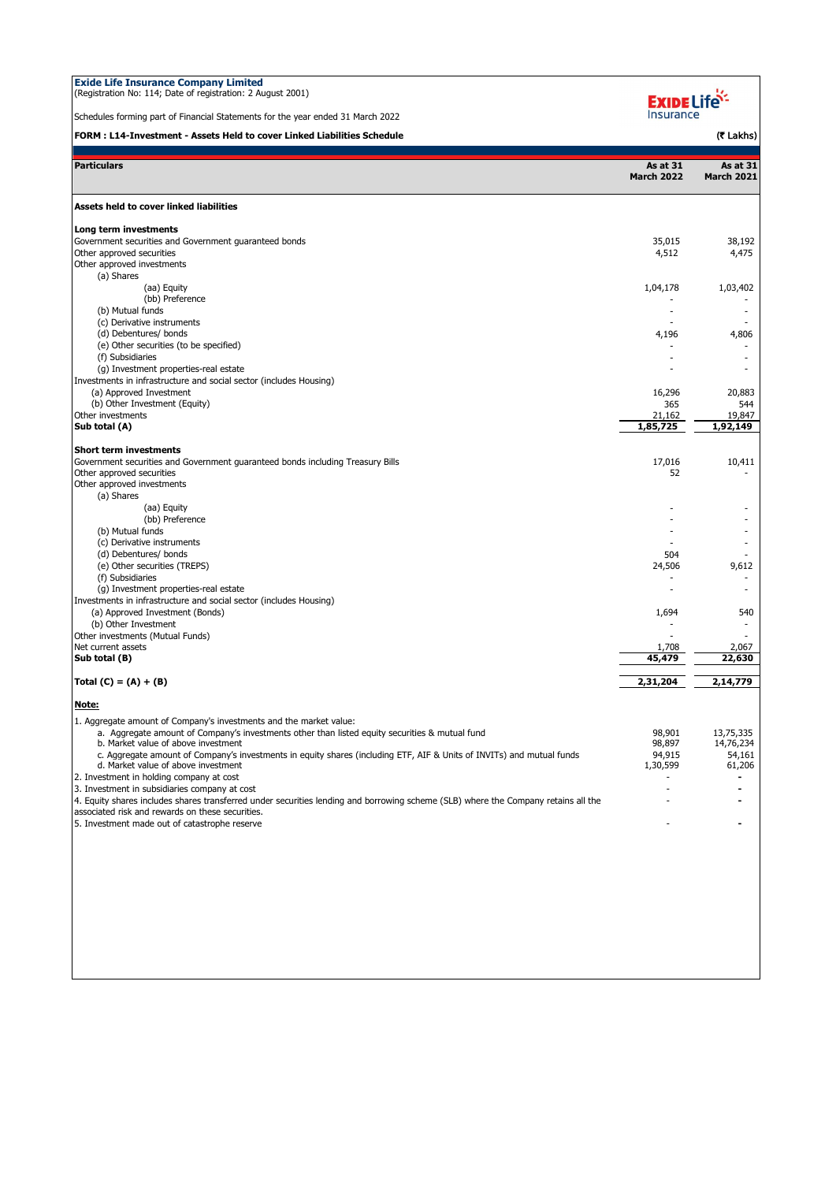| <b>Exide Life Insurance Company Limited</b><br>(Registration No: 114; Date of registration: 2 August 2001)<br>Schedules forming part of Financial Statements for the year ended 31 March 2022 | Insurance                            |                               |  |
|-----------------------------------------------------------------------------------------------------------------------------------------------------------------------------------------------|--------------------------------------|-------------------------------|--|
| FORM: L14-Investment - Assets Held to cover Linked Liabilities Schedule                                                                                                                       |                                      | (₹ Lakhs)                     |  |
| <b>Particulars</b>                                                                                                                                                                            | <b>As at 31</b><br><b>March 2022</b> | As at 31<br><b>March 2021</b> |  |
| Assets held to cover linked liabilities                                                                                                                                                       |                                      |                               |  |
| Long term investments<br>Government securities and Government guaranteed bonds                                                                                                                |                                      |                               |  |
| Other approved securities                                                                                                                                                                     | 35,015<br>4,512                      | 38,192<br>4,475               |  |
| Other approved investments                                                                                                                                                                    |                                      |                               |  |
| (a) Shares<br>(aa) Equity                                                                                                                                                                     | 1,04,178                             | 1,03,402                      |  |
| (bb) Preference                                                                                                                                                                               |                                      |                               |  |
| (b) Mutual funds<br>(c) Derivative instruments                                                                                                                                                |                                      |                               |  |
| (d) Debentures/ bonds                                                                                                                                                                         | 4,196                                | 4,806                         |  |
| (e) Other securities (to be specified)                                                                                                                                                        |                                      |                               |  |
| (f) Subsidiaries<br>(g) Investment properties-real estate                                                                                                                                     |                                      |                               |  |
| Investments in infrastructure and social sector (includes Housing)                                                                                                                            |                                      |                               |  |
| (a) Approved Investment<br>(b) Other Investment (Equity)                                                                                                                                      | 16,296<br>365                        | 20,883<br>544                 |  |
| Other investments                                                                                                                                                                             | 21,162                               | 19,847                        |  |
| Sub total (A)                                                                                                                                                                                 | 1,85,725                             | 1,92,149                      |  |
| <b>Short term investments</b>                                                                                                                                                                 |                                      |                               |  |
| Government securities and Government guaranteed bonds including Treasury Bills                                                                                                                | 17,016                               | 10,411                        |  |
| Other approved securities<br>Other approved investments<br>(a) Shares                                                                                                                         | 52                                   |                               |  |
| (aa) Equity<br>(bb) Preference                                                                                                                                                                |                                      |                               |  |
| (b) Mutual funds                                                                                                                                                                              |                                      |                               |  |
| (c) Derivative instruments                                                                                                                                                                    |                                      |                               |  |
| (d) Debentures/ bonds<br>(e) Other securities (TREPS)                                                                                                                                         | 504<br>24,506                        | 9,612                         |  |
| (f) Subsidiaries                                                                                                                                                                              |                                      |                               |  |
| (g) Investment properties-real estate                                                                                                                                                         |                                      |                               |  |
| Investments in infrastructure and social sector (includes Housing)<br>(a) Approved Investment (Bonds)                                                                                         | 1,694                                | 540                           |  |
| (b) Other Investment                                                                                                                                                                          |                                      |                               |  |
| Other investments (Mutual Funds)<br>Net current assets                                                                                                                                        | 1,708                                | 2,067                         |  |
| Sub total (B)                                                                                                                                                                                 | 45,479                               | 22,630                        |  |
| $\boxed{\text{Total (C)} = (A) + (B)}$                                                                                                                                                        |                                      |                               |  |
|                                                                                                                                                                                               | 2,31,204                             | 2,14,779                      |  |
| Note:                                                                                                                                                                                         |                                      |                               |  |
| 1. Aggregate amount of Company's investments and the market value:<br>a. Aggregate amount of Company's investments other than listed equity securities & mutual fund                          | 98,901                               | 13,75,335                     |  |
| b. Market value of above investment                                                                                                                                                           | 98,897                               | 14,76,234                     |  |
| c. Aggregate amount of Company's investments in equity shares (including ETF, AIF & Units of INVITs) and mutual funds<br>d. Market value of above investment                                  | 94,915<br>1,30,599                   | 54,161<br>61,206              |  |
| 2. Investment in holding company at cost                                                                                                                                                      |                                      | ٠                             |  |
| 3. Investment in subsidiaries company at cost                                                                                                                                                 |                                      |                               |  |
| 4. Equity shares includes shares transferred under securities lending and borrowing scheme (SLB) where the Company retains all the<br>associated risk and rewards on these securities.        |                                      |                               |  |
| 5. Investment made out of catastrophe reserve                                                                                                                                                 |                                      | $\blacksquare$                |  |
|                                                                                                                                                                                               |                                      |                               |  |
|                                                                                                                                                                                               |                                      |                               |  |
|                                                                                                                                                                                               |                                      |                               |  |
|                                                                                                                                                                                               |                                      |                               |  |
|                                                                                                                                                                                               |                                      |                               |  |
|                                                                                                                                                                                               |                                      |                               |  |
|                                                                                                                                                                                               |                                      |                               |  |
|                                                                                                                                                                                               |                                      |                               |  |
|                                                                                                                                                                                               |                                      |                               |  |